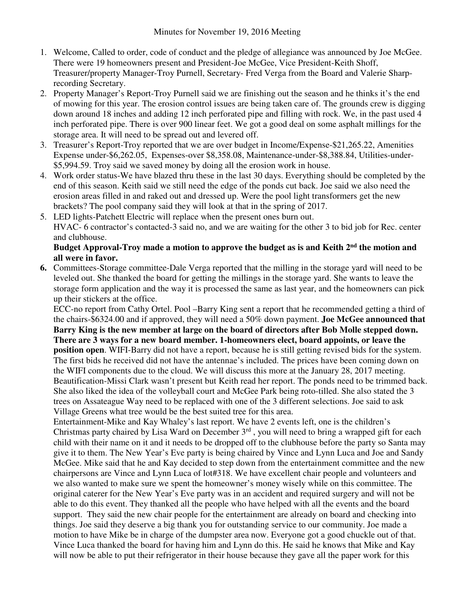- 1. Welcome, Called to order, code of conduct and the pledge of allegiance was announced by Joe McGee. There were 19 homeowners present and President-Joe McGee, Vice President-Keith Shoff, Treasurer/property Manager-Troy Purnell, Secretary- Fred Verga from the Board and Valerie Sharprecording Secretary.
- 2. Property Manager's Report-Troy Purnell said we are finishing out the season and he thinks it's the end of mowing for this year. The erosion control issues are being taken care of. The grounds crew is digging down around 18 inches and adding 12 inch perforated pipe and filling with rock. We, in the past used 4 inch perforated pipe. There is over 900 linear feet. We got a good deal on some asphalt millings for the storage area. It will need to be spread out and levered off.
- 3. Treasurer's Report-Troy reported that we are over budget in Income/Expense-\$21,265.22, Amenities Expense under-\$6,262.05, Expenses-over \$8,358.08, Maintenance-under-\$8,388.84, Utilities-under- \$5,994.59. Troy said we saved money by doing all the erosion work in house.
- 4. Work order status-We have blazed thru these in the last 30 days. Everything should be completed by the end of this season. Keith said we still need the edge of the ponds cut back. Joe said we also need the erosion areas filled in and raked out and dressed up. Were the pool light transformers get the new brackets? The pool company said they will look at that in the spring of 2017.
- 5. LED lights-Patchett Electric will replace when the present ones burn out. HVAC- 6 contractor's contacted-3 said no, and we are waiting for the other 3 to bid job for Rec. center and clubhouse.

## **Budget Approval-Troy made a motion to approve the budget as is and Keith 2nd the motion and all were in favor.**

**6.** Committees-Storage committee-Dale Verga reported that the milling in the storage yard will need to be leveled out. She thanked the board for getting the millings in the storage yard. She wants to leave the storage form application and the way it is processed the same as last year, and the homeowners can pick up their stickers at the office.

ECC-no report from Cathy Ortel. Pool –Barry King sent a report that he recommended getting a third of the chairs-\$6324.00 and if approved, they will need a 50% down payment. **Joe McGee announced that Barry King is the new member at large on the board of directors after Bob Molle stepped down. There are 3 ways for a new board member. 1-homeowners elect, board appoints, or leave the position open**. WIFI-Barry did not have a report, because he is still getting revised bids for the system. The first bids he received did not have the antennae's included. The prices have been coming down on the WIFI components due to the cloud. We will discuss this more at the January 28, 2017 meeting. Beautification-Missi Clark wasn't present but Keith read her report. The ponds need to be trimmed back. She also liked the idea of the volleyball court and McGee Park being roto-tilled. She also stated the 3 trees on Assateague Way need to be replaced with one of the 3 different selections. Joe said to ask Village Greens what tree would be the best suited tree for this area.

Entertainment-Mike and Kay Whaley's last report. We have 2 events left, one is the children's Christmas party chaired by Lisa Ward on December 3<sup>rd</sup>, you will need to bring a wrapped gift for each child with their name on it and it needs to be dropped off to the clubhouse before the party so Santa may give it to them. The New Year's Eve party is being chaired by Vince and Lynn Luca and Joe and Sandy McGee. Mike said that he and Kay decided to step down from the entertainment committee and the new chairpersons are Vince and Lynn Luca of lot#318. We have excellent chair people and volunteers and we also wanted to make sure we spent the homeowner's money wisely while on this committee. The original caterer for the New Year's Eve party was in an accident and required surgery and will not be able to do this event. They thanked all the people who have helped with all the events and the board support. They said the new chair people for the entertainment are already on board and checking into things. Joe said they deserve a big thank you for outstanding service to our community. Joe made a motion to have Mike be in charge of the dumpster area now. Everyone got a good chuckle out of that. Vince Luca thanked the board for having him and Lynn do this. He said he knows that Mike and Kay will now be able to put their refrigerator in their house because they gave all the paper work for this